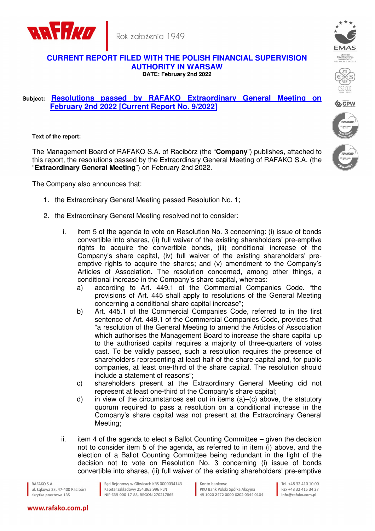



## **CURRENT REPORT FILED WITH THE POLISH FINANCIAL SUPERVISION AUTHORITY IN WARSAW DATE: February 2nd 2022**

## **Subject: Resolutions passed by RAFAKO Extraordinary General Meeting on February 2nd 2022 [Current Report No. 9/2022]**

**Text of the report:** 

The Management Board of RAFAKO S.A. of Racibórz (the "**Company**") publishes, attached to this report, the resolutions passed by the Extraordinary General Meeting of RAFAKO S.A. (the "**Extraordinary General Meeting**") on February 2nd 2022.

The Company also announces that:

- 1. the Extraordinary General Meeting passed Resolution No. 1;
- 2. the Extraordinary General Meeting resolved not to consider:
	- i. item 5 of the agenda to vote on Resolution No. 3 concerning: (i) issue of bonds convertible into shares, (ii) full waiver of the existing shareholders' pre-emptive rights to acquire the convertible bonds, (iii) conditional increase of the Company's share capital, (iv) full waiver of the existing shareholders' preemptive rights to acquire the shares; and (v) amendment to the Company's Articles of Association. The resolution concerned, among other things, a conditional increase in the Company's share capital, whereas:
		- a) according to Art. 449.1 of the Commercial Companies Code. "the provisions of Art. 445 shall apply to resolutions of the General Meeting concerning a conditional share capital increase";
		- b) Art. 445.1 of the Commercial Companies Code, referred to in the first sentence of Art. 449.1 of the Commercial Companies Code, provides that "a resolution of the General Meeting to amend the Articles of Association which authorises the Management Board to increase the share capital up to the authorised capital requires a majority of three-quarters of votes cast. To be validly passed, such a resolution requires the presence of shareholders representing at least half of the share capital and, for public companies, at least one-third of the share capital. The resolution should include a statement of reasons";
		- c) shareholders present at the Extraordinary General Meeting did not represent at least one-third of the Company's share capital;
		- d) in view of the circumstances set out in items  $(a)$ – $(c)$  above, the statutory quorum required to pass a resolution on a conditional increase in the Company's share capital was not present at the Extraordinary General Meeting;
	- ii. item 4 of the agenda to elect a Ballot Counting Committee  $-$  given the decision not to consider item 5 of the agenda, as referred to in item (i) above, and the election of a Ballot Counting Committee being redundant in the light of the decision not to vote on Resolution No. 3 concerning (i) issue of bonds convertible into shares, (ii) full waiver of the existing shareholders' pre-emptive

RAFAKO S.A. ul, Łakowa 33, 47-400 Racibórz skrytka pocztowa 135

Sąd Rejonowy w Gliwicach KRS 0000034143 Kapitał zakładowy 254.863.996 PLN NIP 639-000-17-88, REGON 270217865

Konto bankowe PKO Bank Polski Spółka Akcyina 49 1020 2472 0000 6202 0344 0104

Tel +48 32 410 10 00 Fax +48 32 415 34 27 info@rafako.com.pl